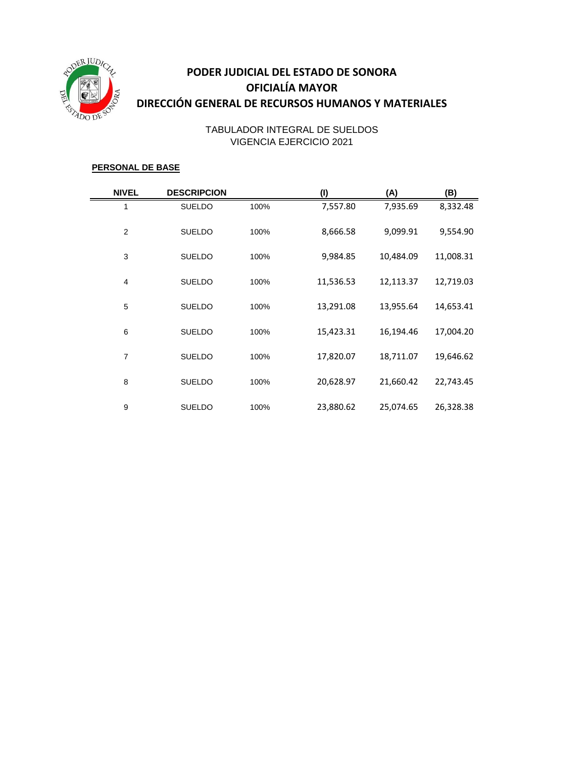

# **PODER JUDICIAL DEL ESTADO DE SONORA OFICIALÍA MAYOR DIRECCIÓN GENERAL DE RECURSOS HUMANOS Y MATERIALES**

## VIGENCIA EJERCICIO 2021 TABULADOR INTEGRAL DE SUELDOS

#### **PERSONAL DE BASE**

| <b>NIVEL</b>   | <b>DESCRIPCION</b> |      | (1)       | (A)       | (B)       |
|----------------|--------------------|------|-----------|-----------|-----------|
| $\mathbf{1}$   | <b>SUELDO</b>      | 100% | 7,557.80  | 7,935.69  | 8,332.48  |
| 2              | <b>SUELDO</b>      | 100% | 8,666.58  | 9,099.91  | 9,554.90  |
| 3              | <b>SUELDO</b>      | 100% | 9,984.85  | 10,484.09 | 11,008.31 |
| $\overline{4}$ | <b>SUELDO</b>      | 100% | 11,536.53 | 12,113.37 | 12,719.03 |
| 5              | <b>SUELDO</b>      | 100% | 13,291.08 | 13,955.64 | 14,653.41 |
| 6              | <b>SUELDO</b>      | 100% | 15,423.31 | 16,194.46 | 17,004.20 |
| 7              | <b>SUELDO</b>      | 100% | 17,820.07 | 18,711.07 | 19,646.62 |
| 8              | <b>SUELDO</b>      | 100% | 20,628.97 | 21,660.42 | 22,743.45 |
| 9              | <b>SUELDO</b>      | 100% | 23,880.62 | 25,074.65 | 26,328.38 |